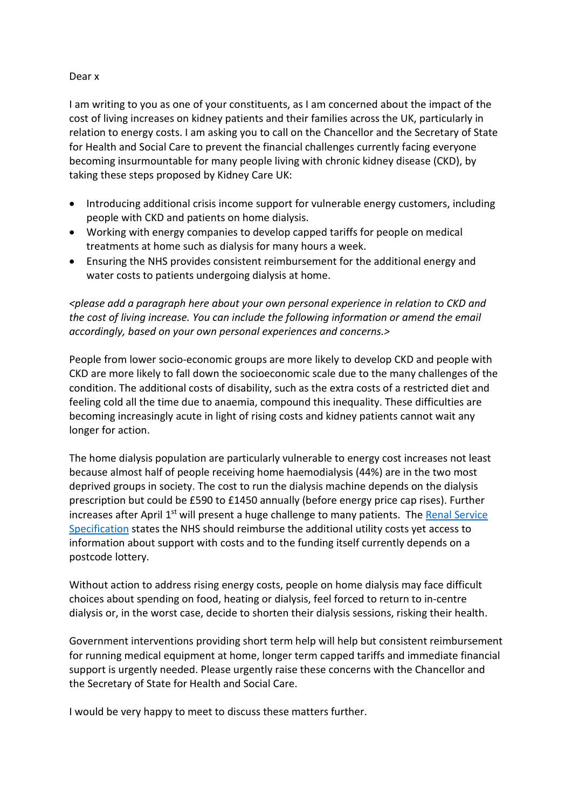## Dear x

I am writing to you as one of your constituents, as I am concerned about the impact of the cost of living increases on kidney patients and their families across the UK, particularly in relation to energy costs. I am asking you to call on the Chancellor and the Secretary of State for Health and Social Care to prevent the financial challenges currently facing everyone becoming insurmountable for many people living with chronic kidney disease (CKD), by taking these steps proposed by Kidney Care UK:

- Introducing additional crisis income support for vulnerable energy customers, including people with CKD and patients on home dialysis.
- Working with energy companies to develop capped tariffs for people on medical treatments at home such as dialysis for many hours a week.
- Ensuring the NHS provides consistent reimbursement for the additional energy and water costs to patients undergoing dialysis at home.

*<please add a paragraph here about your own personal experience in relation to CKD and the cost of living increase. You can include the following information or amend the email accordingly, based on your own personal experiences and concerns.>*

People from lower socio-economic groups are more likely to develop CKD and people with CKD are more likely to fall down the socioeconomic scale due to the many challenges of the condition. The additional costs of disability, such as the extra costs of a restricted diet and feeling cold all the time due to anaemia, compound this inequality. These difficulties are becoming increasingly acute in light of rising costs and kidney patients cannot wait any longer for action.

The home dialysis population are particularly vulnerable to energy cost increases not least because almost half of people receiving home haemodialysis (44%) are in the two most deprived groups in society. The cost to run the dialysis machine depends on the dialysis prescription but could be £590 to £1450 annually (before energy price cap rises). Further increases after April 1<sup>st</sup> will present a huge challenge to many patients. The Renal Service [Specification](https://www.england.nhs.uk/commissioning/spec-services/npc-crg/group-a/a06/) states the NHS should reimburse the additional utility costs yet access to information about support with costs and to the funding itself currently depends on a postcode lottery.

Without action to address rising energy costs, people on home dialysis may face difficult choices about spending on food, heating or dialysis, feel forced to return to in-centre dialysis or, in the worst case, decide to shorten their dialysis sessions, risking their health.

Government interventions providing short term help will help but consistent reimbursement for running medical equipment at home, longer term capped tariffs and immediate financial support is urgently needed. Please urgently raise these concerns with the Chancellor and the Secretary of State for Health and Social Care.

I would be very happy to meet to discuss these matters further.